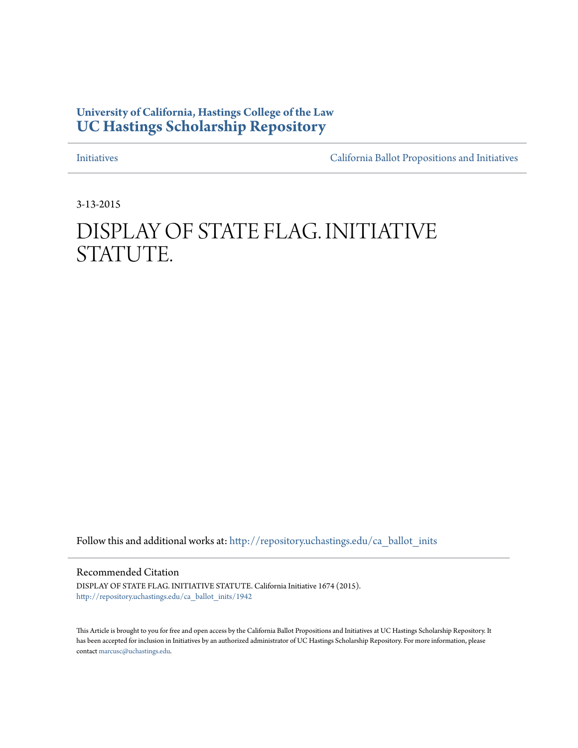# **University of California, Hastings College of the Law [UC Hastings Scholarship Repository](http://repository.uchastings.edu?utm_source=repository.uchastings.edu%2Fca_ballot_inits%2F1942&utm_medium=PDF&utm_campaign=PDFCoverPages)**

[Initiatives](http://repository.uchastings.edu/ca_ballot_inits?utm_source=repository.uchastings.edu%2Fca_ballot_inits%2F1942&utm_medium=PDF&utm_campaign=PDFCoverPages) [California Ballot Propositions and Initiatives](http://repository.uchastings.edu/ca_ballots?utm_source=repository.uchastings.edu%2Fca_ballot_inits%2F1942&utm_medium=PDF&utm_campaign=PDFCoverPages)

3-13-2015

# DISPLAY OF STATE FLAG. INITIATIVE STATUTE.

Follow this and additional works at: [http://repository.uchastings.edu/ca\\_ballot\\_inits](http://repository.uchastings.edu/ca_ballot_inits?utm_source=repository.uchastings.edu%2Fca_ballot_inits%2F1942&utm_medium=PDF&utm_campaign=PDFCoverPages)

Recommended Citation

DISPLAY OF STATE FLAG. INITIATIVE STATUTE. California Initiative 1674 (2015). [http://repository.uchastings.edu/ca\\_ballot\\_inits/1942](http://repository.uchastings.edu/ca_ballot_inits/1942?utm_source=repository.uchastings.edu%2Fca_ballot_inits%2F1942&utm_medium=PDF&utm_campaign=PDFCoverPages)

This Article is brought to you for free and open access by the California Ballot Propositions and Initiatives at UC Hastings Scholarship Repository. It has been accepted for inclusion in Initiatives by an authorized administrator of UC Hastings Scholarship Repository. For more information, please contact [marcusc@uchastings.edu](mailto:marcusc@uchastings.edu).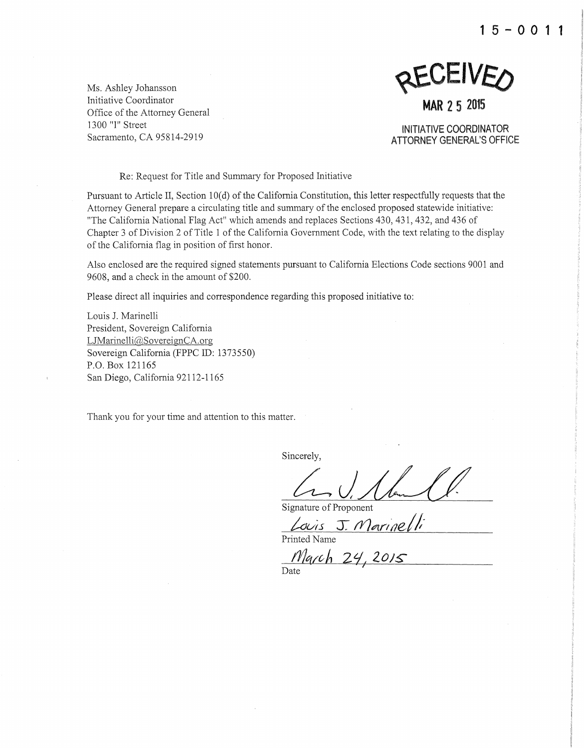**15-0011** 



INITIATIVE COORDINATOR **ATTORNEY GENERAL'S OFFICE** 

Ms. Ashley Johansson Initiative Coordinator Office of the Attorney General 1300 "I" Street Sacramento, CA 95814-2919

Re: Request for Title and Summary for Proposed Initiative

Pursuant to Article II, Section 10(d) of the California Constitution, this letter respectfully requests that the Attorney General prepare a circulating title and summary of the enclosed proposed statewide initiative: "The California National Flag Act" which amends and replaces Sections 430, 431, 432, and 436 of Chapter 3 of Division 2 of Title 1 of the California Government Code, with the text relating to the display of the California flag in position of first honor.

Also enclosed are the required signed statements pursuant to California Elections Code sections 9001 and 9608, and a check in the amount of \$200.

Please direct all inquiries and correspondence regarding this proposed initiative to:

Louis J. Marinelli President, Sovereign California  $LJMarinelli@SovereignCA.org$ Sovereign California (FPPC ID: 1373550) P.O. Box 121165 San Diego, California 92112-1165

Thank you for your time and attention to this matter.

Sincerely,

Signature of Proponent

 $Louis$  J. Marineli Printed Name

March 24, 2015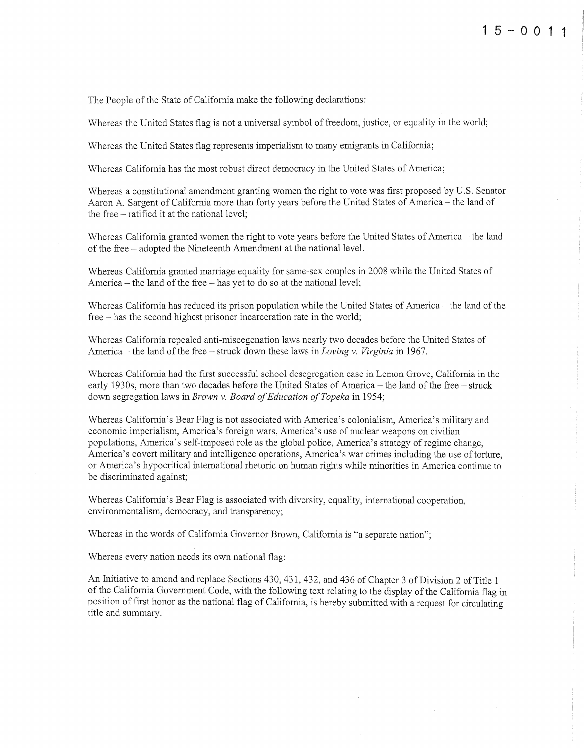The People of the State of California make the following declarations:

Whereas the United States flag is not a universal symbol of freedom, justice, or equality in the world;

Whereas the United States flag represents imperialism to many emigrants in California;

Whereas California has the most robust direct democracy in the United States of America;

Whereas a constitutional amendment granting women the right to vote was first proposed by U.S. Senator Aaron A. Sargent of California more than forty years before the United States of America- the land of the free- ratified it at the national level;

Whereas California granted women the right to vote years before the United States of America - the land of the free - adopted the Nineteenth Amendment at the national level.

Whereas California granted marriage equality for same-sex couples in 2008 while the United States of America- the land of the free -has yet to do so at the national level;

Whereas California has reduced its prison population while the United States of America – the land of the free – has the second highest prisoner incarceration rate in the world;

Whereas California repealed anti-miscegenation laws nearly two decades before the United States of America- the land of the free- struck down these laws in *Loving v. Virginia* in 1967.

Whereas California had the first successful school desegregation case in Lemon Grove, California in the early 1930s, more than two decades before the United States of America- the land of the free- struck down segregation laws in *Brown v. Board of Education of Topeka* in 1954;

Whereas California's Bear Flag is not associated with America's colonialism, America's military and economic imperialism, America's foreign wars, America's use of nuclear weapons on civilian populations, America's self-imposed role as the global police, America's strategy of regime change, America's covert military and intelligence operations, America's war crimes including the use of torture, or America's hypocritical international rhetoric on human rights while minorities in America continue to be discriminated against;

Whereas California's Bear Flag is associated with diversity, equality, international cooperation, environmentalism, democracy, and transparency;

Whereas in the words of California Governor Brown, California is "a separate nation";

Whereas every nation needs its own national flag;

An Initiative to amend and replace Sections 430, 431, 432, and 436 of Chapter 3 of Division 2 of Title 1 of the California Government Code, with the following text relating to the display of the California flag in position of first honor as the national flag of California, is hereby submitted with a request for circulating title and summary.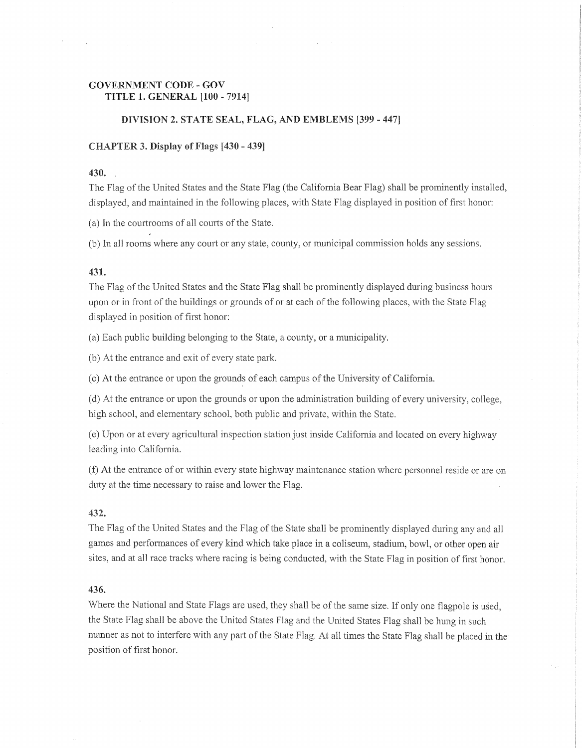## GOVERNMENT CODE-GOY TITLE 1. GENERAL [100 - 7914]

### DIVISION 2. STATE SEAL, FLAG, AND EMBLEMS [399- 447]

#### $CHAPTER$  3. Display of Flags  $[430 - 439]$

#### 430.

The Flag of the United States and the State Flag (the California Bear Flag) shall be prominently installed, displayed, and maintained in the following places, with State Flag displayed in position of first honor:

(a) In the courtrooms of all courts of the State.

(b) In all rooms where any court or any county, or municipal commission holds any sessions.

#### 431.

The Flag of the United States and the State Flag shall be prominently displayed during business hours upon or in front of the buildings or grounds of or at each of the following places, with the State Flag displayed in position of first honor:

(a) Each public building belonging to the State, a county, or a municipality.

(b) At the entrance and exit of every state park.

(c) At the entrance or upon the grounds of each campus of the University of California.

 $(d)$  At the entrance or upon the grounds or upon the administration building of every university, college, high school, and elementary school, both public and private, within the State.

or at every agricultural inspection station just inside California and located on every leading into California.

(f) At the entrance of or within every state highway maintenance station where personnel reside or are on duty at the time necessary to raise and lower the Flag.

#### 432.

The Flag of the United States and the Flag of the State shall be prominently displayed during any and all games and performances of every kind which take place in a coliseum, stadium, bowl, or other open air sites, and at all race tracks where racing is being conducted, with the State Flag in position of first honor.

#### 436.

Where the National and State Flags are used, they shall be of the same size. If only one flagpole is used, the State Flag shall be above the United States Flag and the United States Flag shall be hung in such manner as not to interfere with any part of the State Flag. At ali times the State Flag shall be placed in the position of first honor.